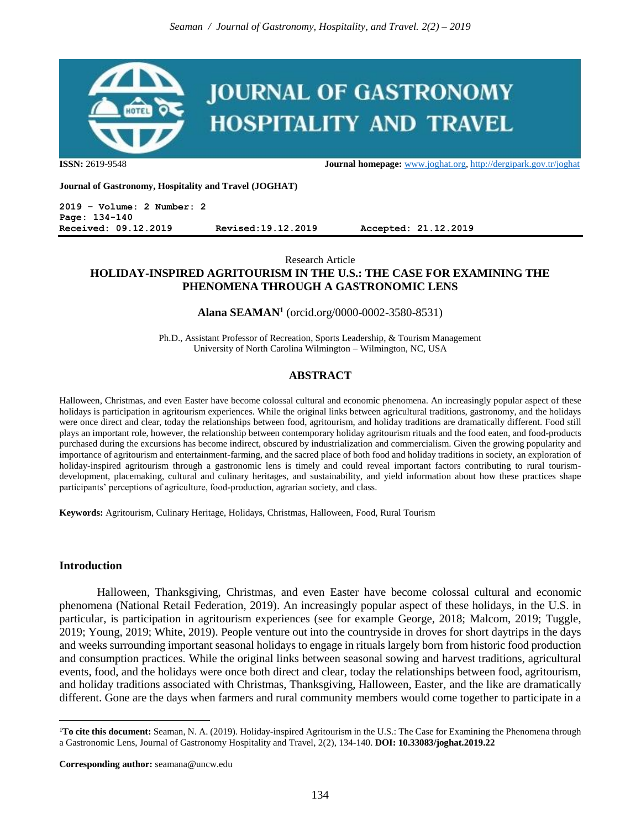

**ISSN:** 2619-9548 **Journal homepage:** [www.joghat.org,](http://www.joghat.org/)<http://dergipark.gov.tr/joghat>

**Journal of Gastronomy, Hospitality and Travel (JOGHAT)**

**2019 – Volume: 2 Number: 2 Page: 134-140 Received: 09.12.2019 Revised:19.12.2019 Accepted: 21.12.2019**

### Research Article **HOLIDAY-INSPIRED AGRITOURISM IN THE U.S.: THE CASE FOR EXAMINING THE PHENOMENA THROUGH A GASTRONOMIC LENS**

## **Alana SEAMAN<sup>1</sup>** (orcid.org/0000-0002-3580-8531)

Ph.D., Assistant Professor of Recreation, Sports Leadership, & Tourism Management University of North Carolina Wilmington – Wilmington, NC, USA

# **ABSTRACT**

Halloween, Christmas, and even Easter have become colossal cultural and economic phenomena. An increasingly popular aspect of these holidays is participation in agritourism experiences. While the original links between agricultural traditions, gastronomy, and the holidays were once direct and clear, today the relationships between food, agritourism, and holiday traditions are dramatically different. Food still plays an important role, however, the relationship between contemporary holiday agritourism rituals and the food eaten, and food-products purchased during the excursions has become indirect, obscured by industrialization and commercialism. Given the growing popularity and importance of agritourism and entertainment-farming, and the sacred place of both food and holiday traditions in society, an exploration of holiday-inspired agritourism through a gastronomic lens is timely and could reveal important factors contributing to rural tourismdevelopment, placemaking, cultural and culinary heritages, and sustainability, and yield information about how these practices shape participants' perceptions of agriculture, food-production, agrarian society, and class.

**Keywords:** Agritourism, Culinary Heritage, Holidays, Christmas, Halloween, Food, Rural Tourism

### **Introduction**

 $\overline{a}$ 

Halloween, Thanksgiving, Christmas, and even Easter have become colossal cultural and economic phenomena (National Retail Federation, 2019). An increasingly popular aspect of these holidays, in the U.S. in particular, is participation in agritourism experiences (see for example George, 2018; Malcom, 2019; Tuggle, 2019; Young, 2019; White, 2019). People venture out into the countryside in droves for short daytrips in the days and weeks surrounding important seasonal holidays to engage in rituals largely born from historic food production and consumption practices. While the original links between seasonal sowing and harvest traditions, agricultural events, food, and the holidays were once both direct and clear, today the relationships between food, agritourism, and holiday traditions associated with Christmas, Thanksgiving, Halloween, Easter, and the like are dramatically different. Gone are the days when farmers and rural community members would come together to participate in a

<sup>&</sup>lt;sup>1</sup>To cite this document: Seaman, N. A. (2019). Holiday-inspired Agritourism in the U.S.: The Case for Examining the Phenomena through a Gastronomic Lens, Journal of Gastronomy Hospitality and Travel, 2(2), 134-140. **DOI: 10.33083/joghat.2019.22**

**Corresponding author:** seamana@uncw.edu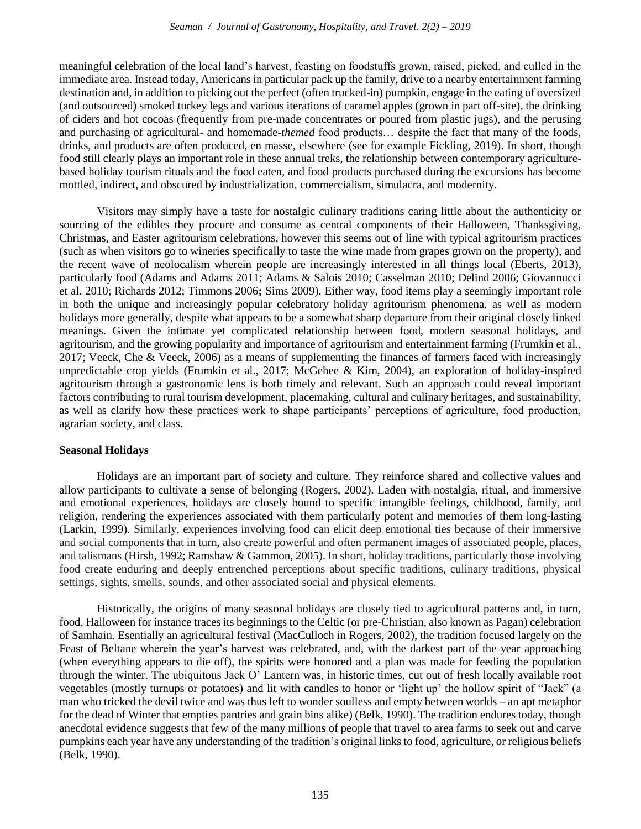meaningful celebration of the local land's harvest, feasting on foodstuffs grown, raised, picked, and culled in the immediate area. Instead today, Americans in particular pack up the family, drive to a nearby entertainment farming destination and, in addition to picking out the perfect (often trucked-in) pumpkin, engage in the eating of oversized (and outsourced) smoked turkey legs and various iterations of caramel apples (grown in part off-site), the drinking of ciders and hot cocoas (frequently from pre-made concentrates or poured from plastic jugs), and the perusing and purchasing of agricultural- and homemade-*themed* food products… despite the fact that many of the foods, drinks, and products are often produced, en masse, elsewhere (see for example Fickling, 2019). In short, though food still clearly plays an important role in these annual treks, the relationship between contemporary agriculturebased holiday tourism rituals and the food eaten, and food products purchased during the excursions has become mottled, indirect, and obscured by industrialization, commercialism, simulacra, and modernity.

Visitors may simply have a taste for nostalgic culinary traditions caring little about the authenticity or sourcing of the edibles they procure and consume as central components of their Halloween, Thanksgiving, Christmas, and Easter agritourism celebrations, however this seems out of line with typical agritourism practices (such as when visitors go to wineries specifically to taste the wine made from grapes grown on the property), and the recent wave of neolocalism wherein people are increasingly interested in all things local (Eberts, 2013), particularly food (Adams and Adams 2011; Adams & Salois 2010; Casselman 2010; Delind 2006; Giovannucci et al. 2010; Richards 2012; Timmons 2006**;** Sims 2009). Either way, food items play a seemingly important role in both the unique and increasingly popular celebratory holiday agritourism phenomena, as well as modern holidays more generally, despite what appears to be a somewhat sharp departure from their original closely linked meanings. Given the intimate yet complicated relationship between food, modern seasonal holidays, and agritourism, and the growing popularity and importance of agritourism and entertainment farming (Frumkin et al., 2017; Veeck, Che & Veeck, 2006) as a means of supplementing the finances of farmers faced with increasingly unpredictable crop yields (Frumkin et al., 2017; McGehee & Kim, 2004), an exploration of holiday-inspired agritourism through a gastronomic lens is both timely and relevant. Such an approach could reveal important factors contributing to rural tourism development, placemaking, cultural and culinary heritages, and sustainability, as well as clarify how these practices work to shape participants' perceptions of agriculture, food production, agrarian society, and class.

# **Seasonal Holidays**

Holidays are an important part of society and culture. They reinforce shared and collective values and allow participants to cultivate a sense of belonging (Rogers, 2002). Laden with nostalgia, ritual, and immersive and emotional experiences, holidays are closely bound to specific intangible feelings, childhood, family, and religion, rendering the experiences associated with them particularly potent and memories of them long-lasting (Larkin, 1999). Similarly, experiences involving food can elicit deep emotional ties because of their immersive and social components that in turn, also create powerful and often permanent images of associated people, places, and talismans (Hirsh, 1992; Ramshaw & Gammon, 2005). In short, holiday traditions, particularly those involving food create enduring and deeply entrenched perceptions about specific traditions, culinary traditions, physical settings, sights, smells, sounds, and other associated social and physical elements.

Historically, the origins of many seasonal holidays are closely tied to agricultural patterns and, in turn, food. Halloween for instance traces its beginnings to the Celtic (or pre-Christian, also known as Pagan) celebration of Samhain. Esentially an agricultural festival (MacCulloch in Rogers, 2002), the tradition focused largely on the Feast of Beltane wherein the year's harvest was celebrated, and, with the darkest part of the year approaching (when everything appears to die off), the spirits were honored and a plan was made for feeding the population through the winter. The ubiquitous Jack O' Lantern was, in historic times, cut out of fresh locally available root vegetables (mostly turnups or potatoes) and lit with candles to honor or 'light up' the hollow spirit of "Jack" (a man who tricked the devil twice and was thus left to wonder soulless and empty between worlds – an apt metaphor for the dead of Winter that empties pantries and grain bins alike) (Belk, 1990). The tradition endures today, though anecdotal evidence suggests that few of the many millions of people that travel to area farms to seek out and carve pumpkins each year have any understanding of the tradition's original links to food, agriculture, or religious beliefs (Belk, 1990).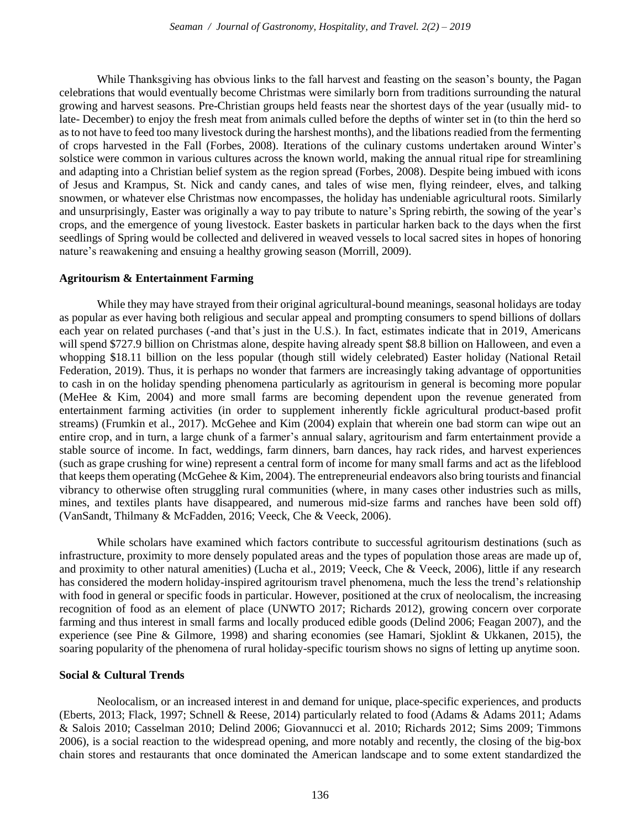While Thanksgiving has obvious links to the fall harvest and feasting on the season's bounty, the Pagan celebrations that would eventually become Christmas were similarly born from traditions surrounding the natural growing and harvest seasons. Pre-Christian groups held feasts near the shortest days of the year (usually mid- to late- December) to enjoy the fresh meat from animals culled before the depths of winter set in (to thin the herd so as to not have to feed too many livestock during the harshest months), and the libations readied from the fermenting of crops harvested in the Fall (Forbes, 2008). Iterations of the culinary customs undertaken around Winter's solstice were common in various cultures across the known world, making the annual ritual ripe for streamlining and adapting into a Christian belief system as the region spread (Forbes, 2008). Despite being imbued with icons of Jesus and Krampus, St. Nick and candy canes, and tales of wise men, flying reindeer, elves, and talking snowmen, or whatever else Christmas now encompasses, the holiday has undeniable agricultural roots. Similarly and unsurprisingly, Easter was originally a way to pay tribute to nature's Spring rebirth, the sowing of the year's crops, and the emergence of young livestock. Easter baskets in particular harken back to the days when the first seedlings of Spring would be collected and delivered in weaved vessels to local sacred sites in hopes of honoring nature's reawakening and ensuing a healthy growing season (Morrill, 2009).

### **Agritourism & Entertainment Farming**

While they may have strayed from their original agricultural-bound meanings, seasonal holidays are today as popular as ever having both religious and secular appeal and prompting consumers to spend billions of dollars each year on related purchases (-and that's just in the U.S.). In fact, estimates indicate that in 2019, Americans will spend \$727.9 billion on Christmas alone, despite having already spent \$8.8 billion on Halloween, and even a whopping \$18.11 billion on the less popular (though still widely celebrated) Easter holiday (National Retail Federation, 2019). Thus, it is perhaps no wonder that farmers are increasingly taking advantage of opportunities to cash in on the holiday spending phenomena particularly as agritourism in general is becoming more popular (MeHee & Kim, 2004) and more small farms are becoming dependent upon the revenue generated from entertainment farming activities (in order to supplement inherently fickle agricultural product-based profit streams) (Frumkin et al., 2017). McGehee and Kim (2004) explain that wherein one bad storm can wipe out an entire crop, and in turn, a large chunk of a farmer's annual salary, agritourism and farm entertainment provide a stable source of income. In fact, weddings, farm dinners, barn dances, hay rack rides, and harvest experiences (such as grape crushing for wine) represent a central form of income for many small farms and act as the lifeblood that keeps them operating (McGehee  $\&$  Kim, 2004). The entrepreneurial endeavors also bring tourists and financial vibrancy to otherwise often struggling rural communities (where, in many cases other industries such as mills, mines, and textiles plants have disappeared, and numerous mid-size farms and ranches have been sold off) (VanSandt, Thilmany & McFadden, 2016; Veeck, Che & Veeck, 2006).

While scholars have examined which factors contribute to successful agritourism destinations (such as infrastructure, proximity to more densely populated areas and the types of population those areas are made up of, and proximity to other natural amenities) (Lucha et al., 2019; Veeck, Che & Veeck, 2006), little if any research has considered the modern holiday-inspired agritourism travel phenomena, much the less the trend's relationship with food in general or specific foods in particular. However, positioned at the crux of neolocalism, the increasing recognition of food as an element of place (UNWTO 2017; Richards 2012), growing concern over corporate farming and thus interest in small farms and locally produced edible goods (Delind 2006; Feagan 2007), and the experience (see Pine & Gilmore, 1998) and sharing economies (see Hamari, Sjoklint & Ukkanen, 2015), the soaring popularity of the phenomena of rural holiday-specific tourism shows no signs of letting up anytime soon.

### **Social & Cultural Trends**

Neolocalism, or an increased interest in and demand for unique, place-specific experiences, and products (Eberts, 2013; Flack, 1997; Schnell & Reese, 2014) particularly related to food (Adams & Adams 2011; Adams & Salois 2010; Casselman 2010; Delind 2006; Giovannucci et al. 2010; Richards 2012; Sims 2009; Timmons 2006), is a social reaction to the widespread opening, and more notably and recently, the closing of the big-box chain stores and restaurants that once dominated the American landscape and to some extent standardized the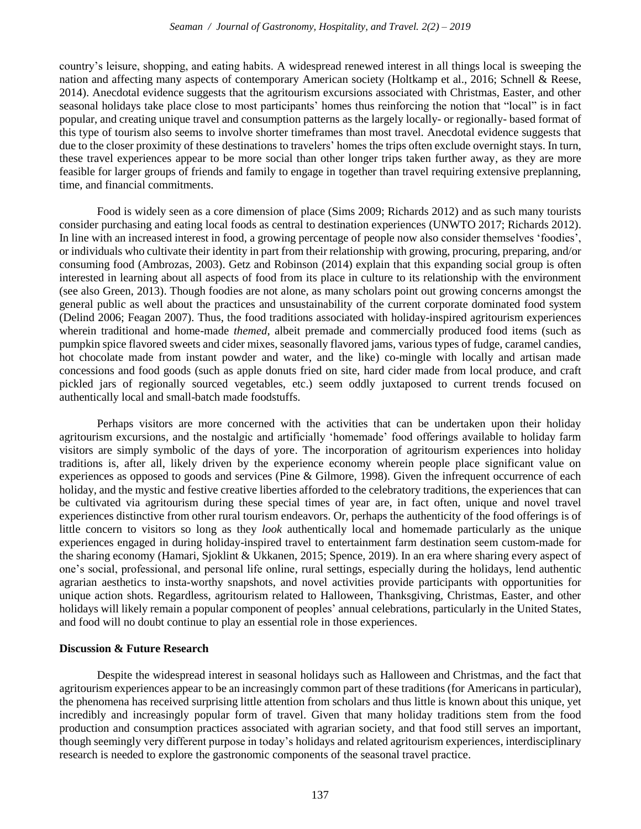country's leisure, shopping, and eating habits. A widespread renewed interest in all things local is sweeping the nation and affecting many aspects of contemporary American society (Holtkamp et al., 2016; Schnell & Reese, 2014). Anecdotal evidence suggests that the agritourism excursions associated with Christmas, Easter, and other seasonal holidays take place close to most participants' homes thus reinforcing the notion that "local" is in fact popular, and creating unique travel and consumption patterns as the largely locally- or regionally- based format of this type of tourism also seems to involve shorter timeframes than most travel. Anecdotal evidence suggests that due to the closer proximity of these destinations to travelers' homes the trips often exclude overnight stays. In turn, these travel experiences appear to be more social than other longer trips taken further away, as they are more feasible for larger groups of friends and family to engage in together than travel requiring extensive preplanning, time, and financial commitments.

Food is widely seen as a core dimension of place (Sims 2009; Richards 2012) and as such many tourists consider purchasing and eating local foods as central to destination experiences (UNWTO 2017; Richards 2012). In line with an increased interest in food, a growing percentage of people now also consider themselves 'foodies', or individuals who cultivate their identity in part from their relationship with growing, procuring, preparing, and/or consuming food (Ambrozas, 2003). Getz and Robinson (2014) explain that this expanding social group is often interested in learning about all aspects of food from its place in culture to its relationship with the environment (see also Green, 2013). Though foodies are not alone, as many scholars point out growing concerns amongst the general public as well about the practices and unsustainability of the current corporate dominated food system (Delind 2006; Feagan 2007). Thus, the food traditions associated with holiday-inspired agritourism experiences wherein traditional and home-made *themed*, albeit premade and commercially produced food items (such as pumpkin spice flavored sweets and cider mixes, seasonally flavored jams, various types of fudge, caramel candies, hot chocolate made from instant powder and water, and the like) co-mingle with locally and artisan made concessions and food goods (such as apple donuts fried on site, hard cider made from local produce, and craft pickled jars of regionally sourced vegetables, etc.) seem oddly juxtaposed to current trends focused on authentically local and small-batch made foodstuffs.

Perhaps visitors are more concerned with the activities that can be undertaken upon their holiday agritourism excursions, and the nostalgic and artificially 'homemade' food offerings available to holiday farm visitors are simply symbolic of the days of yore. The incorporation of agritourism experiences into holiday traditions is, after all, likely driven by the experience economy wherein people place significant value on experiences as opposed to goods and services (Pine & Gilmore, 1998). Given the infrequent occurrence of each holiday, and the mystic and festive creative liberties afforded to the celebratory traditions, the experiences that can be cultivated via agritourism during these special times of year are, in fact often, unique and novel travel experiences distinctive from other rural tourism endeavors. Or, perhaps the authenticity of the food offerings is of little concern to visitors so long as they *look* authentically local and homemade particularly as the unique experiences engaged in during holiday-inspired travel to entertainment farm destination seem custom-made for the sharing economy (Hamari, Sjoklint & Ukkanen, 2015; Spence, 2019). In an era where sharing every aspect of one's social, professional, and personal life online, rural settings, especially during the holidays, lend authentic agrarian aesthetics to insta-worthy snapshots, and novel activities provide participants with opportunities for unique action shots. Regardless, agritourism related to Halloween, Thanksgiving, Christmas, Easter, and other holidays will likely remain a popular component of peoples' annual celebrations, particularly in the United States, and food will no doubt continue to play an essential role in those experiences.

### **Discussion & Future Research**

Despite the widespread interest in seasonal holidays such as Halloween and Christmas, and the fact that agritourism experiences appear to be an increasingly common part of these traditions (for Americans in particular), the phenomena has received surprising little attention from scholars and thus little is known about this unique, yet incredibly and increasingly popular form of travel. Given that many holiday traditions stem from the food production and consumption practices associated with agrarian society, and that food still serves an important, though seemingly very different purpose in today's holidays and related agritourism experiences, interdisciplinary research is needed to explore the gastronomic components of the seasonal travel practice.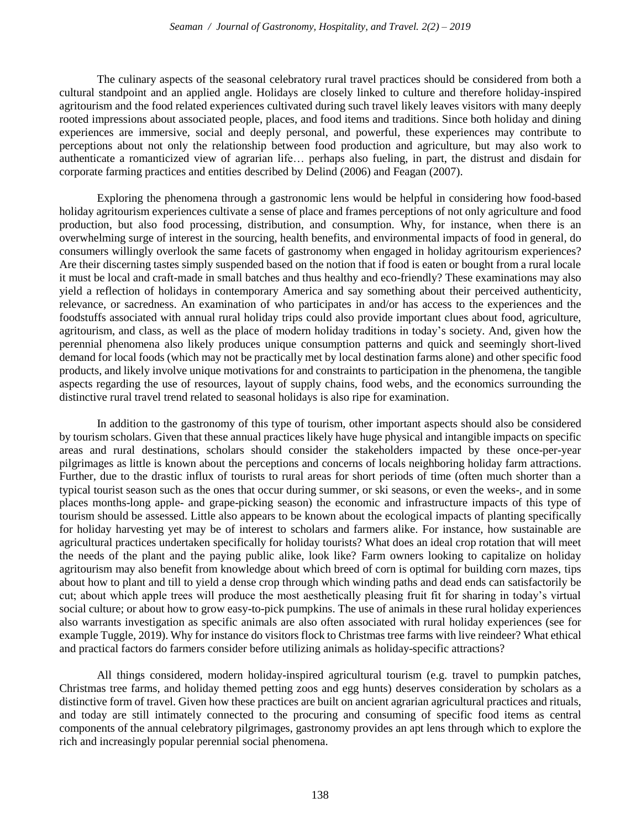The culinary aspects of the seasonal celebratory rural travel practices should be considered from both a cultural standpoint and an applied angle. Holidays are closely linked to culture and therefore holiday-inspired agritourism and the food related experiences cultivated during such travel likely leaves visitors with many deeply rooted impressions about associated people, places, and food items and traditions. Since both holiday and dining experiences are immersive, social and deeply personal, and powerful, these experiences may contribute to perceptions about not only the relationship between food production and agriculture, but may also work to authenticate a romanticized view of agrarian life… perhaps also fueling, in part, the distrust and disdain for corporate farming practices and entities described by Delind (2006) and Feagan (2007).

Exploring the phenomena through a gastronomic lens would be helpful in considering how food-based holiday agritourism experiences cultivate a sense of place and frames perceptions of not only agriculture and food production, but also food processing, distribution, and consumption. Why, for instance, when there is an overwhelming surge of interest in the sourcing, health benefits, and environmental impacts of food in general, do consumers willingly overlook the same facets of gastronomy when engaged in holiday agritourism experiences? Are their discerning tastes simply suspended based on the notion that if food is eaten or bought from a rural locale it must be local and craft-made in small batches and thus healthy and eco-friendly? These examinations may also yield a reflection of holidays in contemporary America and say something about their perceived authenticity, relevance, or sacredness. An examination of who participates in and/or has access to the experiences and the foodstuffs associated with annual rural holiday trips could also provide important clues about food, agriculture, agritourism, and class, as well as the place of modern holiday traditions in today's society. And, given how the perennial phenomena also likely produces unique consumption patterns and quick and seemingly short-lived demand for local foods (which may not be practically met by local destination farms alone) and other specific food products, and likely involve unique motivations for and constraints to participation in the phenomena, the tangible aspects regarding the use of resources, layout of supply chains, food webs, and the economics surrounding the distinctive rural travel trend related to seasonal holidays is also ripe for examination.

In addition to the gastronomy of this type of tourism, other important aspects should also be considered by tourism scholars. Given that these annual practices likely have huge physical and intangible impacts on specific areas and rural destinations, scholars should consider the stakeholders impacted by these once-per-year pilgrimages as little is known about the perceptions and concerns of locals neighboring holiday farm attractions. Further, due to the drastic influx of tourists to rural areas for short periods of time (often much shorter than a typical tourist season such as the ones that occur during summer, or ski seasons, or even the weeks-, and in some places months-long apple- and grape-picking season) the economic and infrastructure impacts of this type of tourism should be assessed. Little also appears to be known about the ecological impacts of planting specifically for holiday harvesting yet may be of interest to scholars and farmers alike. For instance, how sustainable are agricultural practices undertaken specifically for holiday tourists? What does an ideal crop rotation that will meet the needs of the plant and the paying public alike, look like? Farm owners looking to capitalize on holiday agritourism may also benefit from knowledge about which breed of corn is optimal for building corn mazes, tips about how to plant and till to yield a dense crop through which winding paths and dead ends can satisfactorily be cut; about which apple trees will produce the most aesthetically pleasing fruit fit for sharing in today's virtual social culture; or about how to grow easy-to-pick pumpkins. The use of animals in these rural holiday experiences also warrants investigation as specific animals are also often associated with rural holiday experiences (see for example Tuggle, 2019). Why for instance do visitors flock to Christmas tree farms with live reindeer? What ethical and practical factors do farmers consider before utilizing animals as holiday-specific attractions?

All things considered, modern holiday-inspired agricultural tourism (e.g. travel to pumpkin patches, Christmas tree farms, and holiday themed petting zoos and egg hunts) deserves consideration by scholars as a distinctive form of travel. Given how these practices are built on ancient agrarian agricultural practices and rituals, and today are still intimately connected to the procuring and consuming of specific food items as central components of the annual celebratory pilgrimages, gastronomy provides an apt lens through which to explore the rich and increasingly popular perennial social phenomena.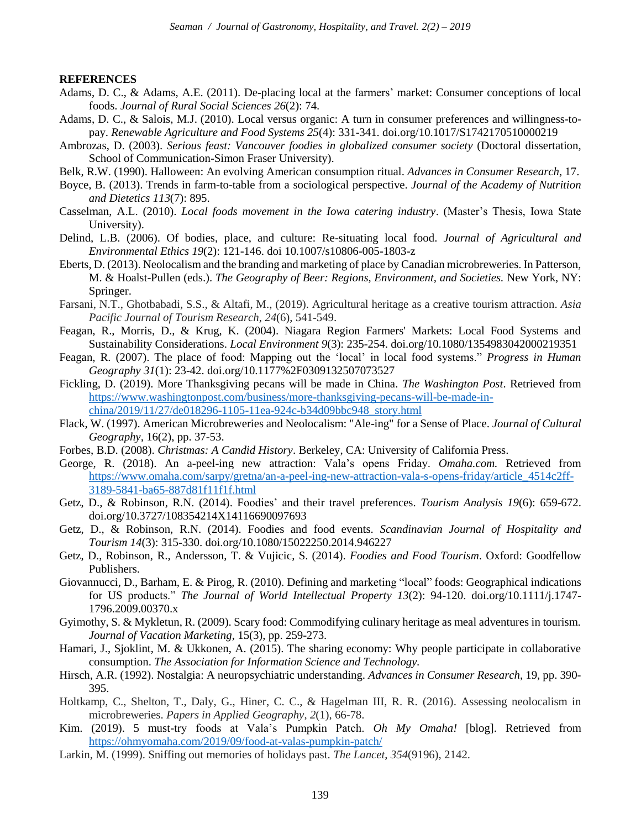#### **REFERENCES**

- Adams, D. C., & Adams, A.E. (2011). De-placing local at the farmers' market: Consumer conceptions of local foods. *Journal of Rural Social Sciences 26*(2): 74.
- Adams, D. C., & Salois, M.J. (2010). Local versus organic: A turn in consumer preferences and willingness-topay. *Renewable Agriculture and Food Systems 25*(4): 331-341. doi.org/10.1017/S1742170510000219
- Ambrozas, D. (2003). *Serious feast: Vancouver foodies in globalized consumer society* (Doctoral dissertation, School of Communication-Simon Fraser University).
- Belk, R.W. (1990). Halloween: An evolving American consumption ritual. *Advances in Consumer Research*, 17.
- Boyce, B. (2013). Trends in farm-to-table from a sociological perspective. *Journal of the Academy of Nutrition and Dietetics 113*(7): 895.
- Casselman, A.L. (2010). *Local foods movement in the Iowa catering industry*. (Master's Thesis, Iowa State University).
- Delind, L.B. (2006). Of bodies, place, and culture: Re-situating local food. *Journal of Agricultural and Environmental Ethics 19*(2): 121-146. doi 10.1007/s10806-005-1803-z
- Eberts, D. (2013). Neolocalism and the branding and marketing of place by Canadian microbreweries. In Patterson, M. & Hoalst-Pullen (eds.). *The Geography of Beer: Regions, Environment, and Societies.* New York, NY: Springer.
- Farsani, N.T., Ghotbabadi, S.S., & Altafi, M., (2019). Agricultural heritage as a creative tourism attraction. *Asia Pacific Journal of Tourism Research*, *24*(6), 541-549.
- Feagan, R., Morris, D., & Krug, K. (2004). Niagara Region Farmers' Markets: Local Food Systems and Sustainability Considerations. *Local Environment 9*(3): 235-254. doi.org/10.1080/1354983042000219351
- Feagan, R. (2007). The place of food: Mapping out the 'local' in local food systems." *Progress in Human Geography 31*(1): 23-42. doi.org/10.1177%2F0309132507073527
- Fickling, D. (2019). More Thanksgiving pecans will be made in China. *The Washington Post*. Retrieved from [https://www.washingtonpost.com/business/more-thanksgiving-pecans-will-be-made-in](https://www.washingtonpost.com/business/more-thanksgiving-pecans-will-be-made-in-china/2019/11/27/de018296-1105-11ea-924c-b34d09bbc948_story.html)[china/2019/11/27/de018296-1105-11ea-924c-b34d09bbc948\\_story.html](https://www.washingtonpost.com/business/more-thanksgiving-pecans-will-be-made-in-china/2019/11/27/de018296-1105-11ea-924c-b34d09bbc948_story.html)
- Flack, W. (1997). American Microbreweries and Neolocalism: "Ale-ing" for a Sense of Place. *Journal of Cultural Geography,* 16(2), pp. 37-53.
- Forbes, B.D. (2008). *Christmas: A Candid History*. Berkeley, CA: University of California Press.
- George, R. (2018). An a-peel-ing new attraction: Vala's opens Friday. *Omaha.com.* Retrieved from [https://www.omaha.com/sarpy/gretna/an-a-peel-ing-new-attraction-vala-s-opens-friday/article\\_4514c2ff-](https://www.omaha.com/sarpy/gretna/an-a-peel-ing-new-attraction-vala-s-opens-friday/article_4514c2ff-3189-5841-ba65-887d81f11f1f.html)[3189-5841-ba65-887d81f11f1f.html](https://www.omaha.com/sarpy/gretna/an-a-peel-ing-new-attraction-vala-s-opens-friday/article_4514c2ff-3189-5841-ba65-887d81f11f1f.html)
- Getz, D., & Robinson, R.N. (2014). Foodies' and their travel preferences. *Tourism Analysis 19*(6): 659-672. doi.org/10.3727/108354214X14116690097693
- Getz, D., & Robinson, R.N. (2014). Foodies and food events. *Scandinavian Journal of Hospitality and Tourism 14*(3): 315-330. doi.org/10.1080/15022250.2014.946227
- Getz, D., Robinson, R., Andersson, T. & Vujicic, S. (2014). *Foodies and Food Tourism*. Oxford: Goodfellow Publishers.
- Giovannucci, D., Barham, E. & Pirog, R. (2010). Defining and marketing "local" foods: Geographical indications for US products." *The Journal of World Intellectual Property 13*(2): 94-120. doi.org/10.1111/j.1747- 1796.2009.00370.x
- Gyimothy, S. & Mykletun, R. (2009). Scary food: Commodifying culinary heritage as meal adventures in tourism. *Journal of Vacation Marketing*, 15(3), pp. 259-273.
- Hamari, J., Sjoklint, M. & Ukkonen, A. (2015). The sharing economy: Why people participate in collaborative consumption. *The Association for Information Science and Technology.*
- Hirsch, A.R. (1992). Nostalgia: A neuropsychiatric understanding. *Advances in Consumer Research*, 19, pp. 390- 395.
- Holtkamp, C., Shelton, T., Daly, G., Hiner, C. C., & Hagelman III, R. R. (2016). Assessing neolocalism in microbreweries. *Papers in Applied Geography*, *2*(1), 66-78.
- Kim. (2019). 5 must-try foods at Vala's Pumpkin Patch. *Oh My Omaha!* [blog]. Retrieved from <https://ohmyomaha.com/2019/09/food-at-valas-pumpkin-patch/>
- Larkin, M. (1999). Sniffing out memories of holidays past. *The Lancet*, *354*(9196), 2142.